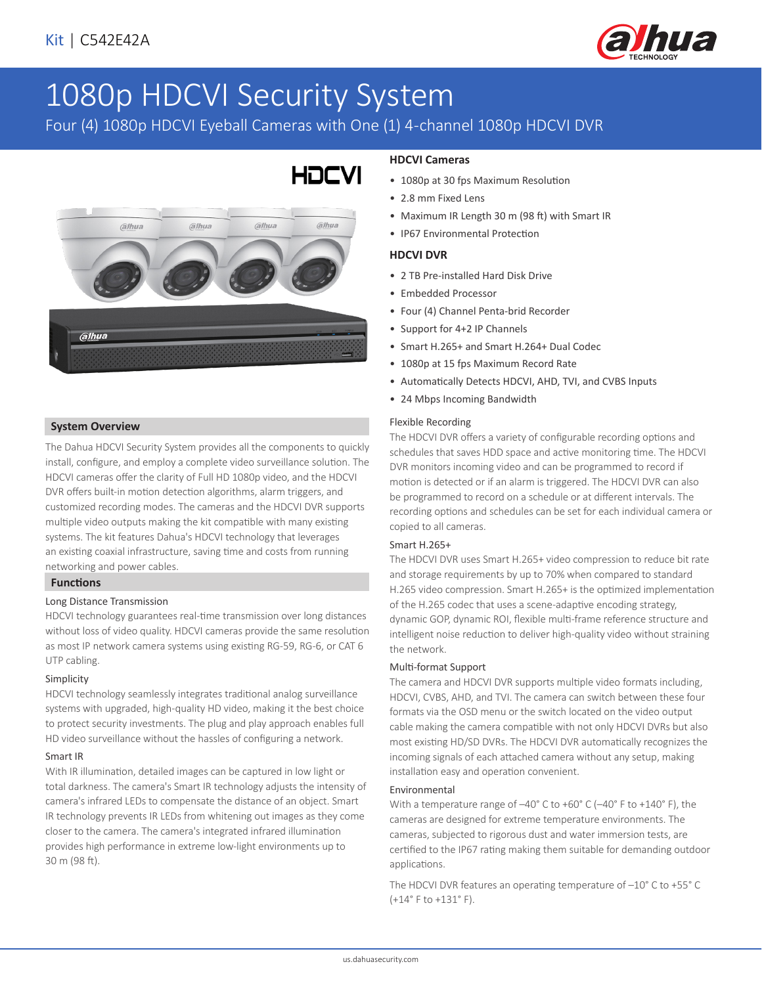

# 1080p HDCVI Security System

Four (4) 1080p HDCVI Eyeball Cameras with One (1) 4-channel 1080p HDCVI DVR



#### **System Overview**

The Dahua HDCVI Security System provides all the components to quickly install, configure, and employ a complete video surveillance solution. The HDCVI cameras offer the clarity of Full HD 1080p video, and the HDCVI DVR offers built-in motion detection algorithms, alarm triggers, and customized recording modes. The cameras and the HDCVI DVR supports multiple video outputs making the kit compatible with many existing systems. The kit features Dahua's HDCVI technology that leverages an existing coaxial infrastructure, saving time and costs from running networking and power cables.

#### **Functions**

#### Long Distance Transmission

HDCVI technology guarantees real-time transmission over long distances without loss of video quality. HDCVI cameras provide the same resolution as most IP network camera systems using existing RG-59, RG-6, or CAT 6 UTP cabling.

#### Simplicity

HDCVI technology seamlessly integrates traditional analog surveillance systems with upgraded, high-quality HD video, making it the best choice to protect security investments. The plug and play approach enables full HD video surveillance without the hassles of configuring a network.

#### Smart IR

With IR illumination, detailed images can be captured in low light or total darkness. The camera's Smart IR technology adjusts the intensity of camera's infrared LEDs to compensate the distance of an object. Smart IR technology prevents IR LEDs from whitening out images as they come closer to the camera. The camera's integrated infrared illumination provides high performance in extreme low-light environments up to 30 m (98 ft).

# **HDCVI Cameras**

- 1080p at 30 fps Maximum Resolution
- 2.8 mm Fixed Lens
- Maximum IR Length 30 m (98 ft) with Smart IR
- IP67 Environmental Protection

#### **HDCVI DVR**

- 2 TB Pre-installed Hard Disk Drive
- Embedded Processor
- Four (4) Channel Penta-brid Recorder
- Support for 4+2 IP Channels
- Smart H.265+ and Smart H.264+ Dual Codec
- 1080p at 15 fps Maximum Record Rate
- Automatically Detects HDCVI, AHD, TVI, and CVBS Inputs
- 24 Mbps Incoming Bandwidth

#### Flexible Recording

The HDCVI DVR offers a variety of configurable recording options and schedules that saves HDD space and active monitoring time. The HDCVI DVR monitors incoming video and can be programmed to record if motion is detected or if an alarm is triggered. The HDCVI DVR can also be programmed to record on a schedule or at different intervals. The recording options and schedules can be set for each individual camera or copied to all cameras.

#### Smart H.265+

The HDCVI DVR uses Smart H.265+ video compression to reduce bit rate and storage requirements by up to 70% when compared to standard H.265 video compression. Smart H.265+ is the optimized implementation of the H.265 codec that uses a scene-adaptive encoding strategy, dynamic GOP, dynamic ROI, flexible multi-frame reference structure and intelligent noise reduction to deliver high-quality video without straining the network.

#### Multi-format Support

The camera and HDCVI DVR supports multiple video formats including, HDCVI, CVBS, AHD, and TVI. The camera can switch between these four formats via the OSD menu or the switch located on the video output cable making the camera compatible with not only HDCVI DVRs but also most existing HD/SD DVRs. The HDCVI DVR automatically recognizes the incoming signals of each attached camera without any setup, making installation easy and operation convenient.

#### Environmental

With a temperature range of –40° C to +60° C (–40° F to +140° F), the cameras are designed for extreme temperature environments. The cameras, subjected to rigorous dust and water immersion tests, are certified to the IP67 rating making them suitable for demanding outdoor applications.

The HDCVI DVR features an operating temperature of –10° C to +55° C (+14° F to +131° F).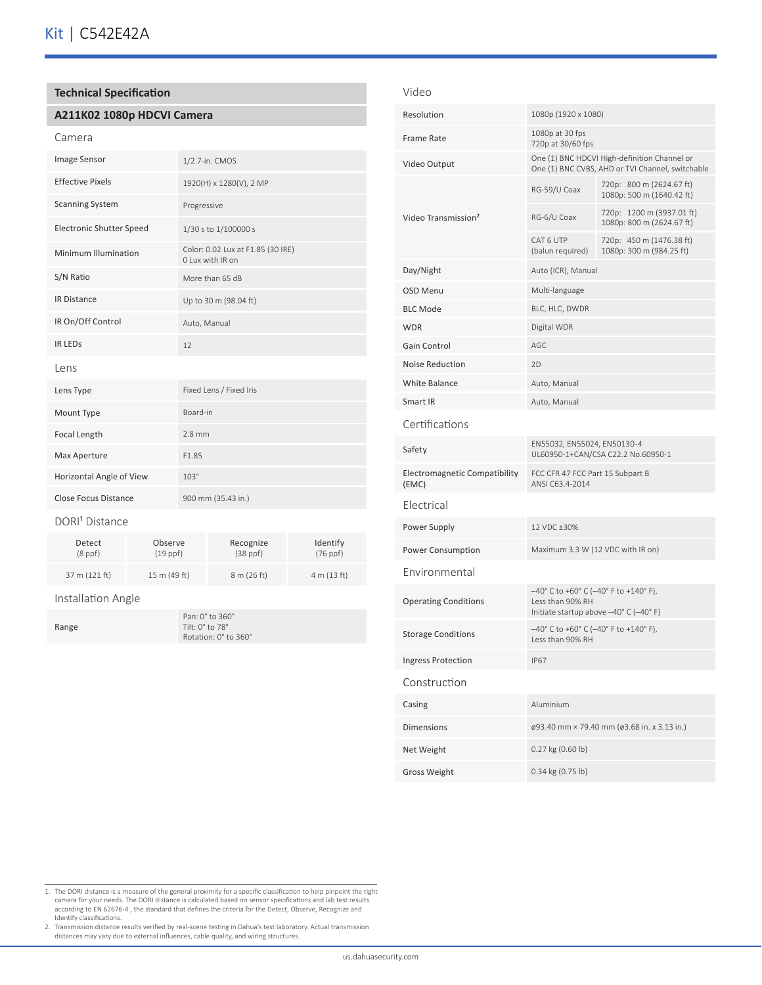### **Technical Specification**

#### **A211K02 1080p HDCVI Camera**

#### Camera

| 1/2.7-in. CMOS                                        |
|-------------------------------------------------------|
| 1920(H) x 1280(V), 2 MP                               |
| Progressive                                           |
| 1/30 s to 1/100000 s                                  |
| Color: 0.02 Lux at F1.85 (30 IRE)<br>O Lux with IR on |
| More than 65 dB                                       |
| Up to 30 m (98.04 ft)                                 |
| Auto, Manual                                          |
| 12                                                    |
|                                                       |
| Fixed Lens / Fixed Iris                               |
| Board-in                                              |
| $2.8$ mm                                              |
| F1.85                                                 |
| $103^\circ$                                           |
| 900 mm (35.43 in.)                                    |
|                                                       |

#### DORI<sup>1</sup> Distance

| Detect        | Observe       | Recognize     | Identify    |
|---------------|---------------|---------------|-------------|
| $(8$ ppf $)$  | $(19$ ppf $)$ | $(38$ ppf $)$ | $(76$ ppf)  |
| 37 m (121 ft) | 15 m (49 ft)  | 8 m (26 ft)   | 4 m (13 ft) |

#### Installation Angle

Range

Pan: 0° to 360° Tilt: 0° to 78° Rotation: 0° to 360°

#### Video

| Resolution                             | 1080p (1920 x 1080)                                                                                                             |                                                        |  |
|----------------------------------------|---------------------------------------------------------------------------------------------------------------------------------|--------------------------------------------------------|--|
| <b>Frame Rate</b>                      | 1080p at 30 fps<br>720p at 30/60 fps                                                                                            |                                                        |  |
| Video Output                           | One (1) BNC HDCVI High-definition Channel or<br>One (1) BNC CVBS, AHD or TVI Channel, switchable                                |                                                        |  |
|                                        | RG-59/U Coax                                                                                                                    | 720p: 800 m (2624.67 ft)<br>1080p: 500 m (1640.42 ft)  |  |
| Video Transmission <sup>2</sup>        | RG-6/U Coax                                                                                                                     | 720p: 1200 m (3937.01 ft)<br>1080p: 800 m (2624.67 ft) |  |
|                                        | CAT 6 UTP<br>(balun required)                                                                                                   | 720p: 450 m (1476.38 ft)<br>1080p: 300 m (984.25 ft)   |  |
| Day/Night                              | Auto (ICR), Manual                                                                                                              |                                                        |  |
| <b>OSD Menu</b>                        | Multi-language                                                                                                                  |                                                        |  |
| <b>BLC Mode</b>                        | BLC, HLC, DWDR                                                                                                                  |                                                        |  |
| <b>WDR</b>                             | Digital WDR                                                                                                                     |                                                        |  |
| Gain Control                           | AGC                                                                                                                             |                                                        |  |
| <b>Noise Reduction</b>                 | 2D                                                                                                                              |                                                        |  |
| White Balance                          | Auto, Manual                                                                                                                    |                                                        |  |
| Smart IR                               | Auto, Manual                                                                                                                    |                                                        |  |
| Certifications                         |                                                                                                                                 |                                                        |  |
| Safety                                 | EN55032, EN55024, EN50130-4<br>UL60950-1+CAN/CSA C22.2 No.60950-1                                                               |                                                        |  |
| Electromagnetic Compatibility<br>(EMC) | FCC CFR 47 FCC Part 15 Subpart B<br>ANSI C63.4-2014                                                                             |                                                        |  |
| Electrical                             |                                                                                                                                 |                                                        |  |
| Power Supply                           | 12 VDC ±30%                                                                                                                     |                                                        |  |
| Power Consumption                      | Maximum 3.3 W (12 VDC with IR on)                                                                                               |                                                        |  |
| Environmental                          |                                                                                                                                 |                                                        |  |
| <b>Operating Conditions</b>            | $-40^{\circ}$ C to +60° C (-40° F to +140° F),<br>Less than 90% RH<br>Initiate startup above $-40^{\circ}$ C ( $-40^{\circ}$ F) |                                                        |  |
| <b>Storage Conditions</b>              | $-40^{\circ}$ C to +60° C (-40° F to +140° F),<br>Less than 90% RH                                                              |                                                        |  |
| Ingress Protection                     | IP67                                                                                                                            |                                                        |  |
| Construction                           |                                                                                                                                 |                                                        |  |
| Casing                                 | Aluminium                                                                                                                       |                                                        |  |
| <b>Dimensions</b>                      | ø93.40 mm × 79.40 mm (ø3.68 in. x 3.13 in.)                                                                                     |                                                        |  |
| Net Weight                             | 0.27 kg (0.60 lb)                                                                                                               |                                                        |  |
| <b>Gross Weight</b>                    | 0.34 kg (0.75 lb)                                                                                                               |                                                        |  |

- 1. The DORI distance is a measure of the general proximity for a specific classification to help pinpoint the right<br>camera for your needs. The DORI distance is calculated based on sensor specifications and lab test results
- Identify classifications. 2. Transmission distance results verified by real-scene testing in Dahua's test laboratory. Actual transmission distances may vary due to external influences, cable quality, and wiring structures.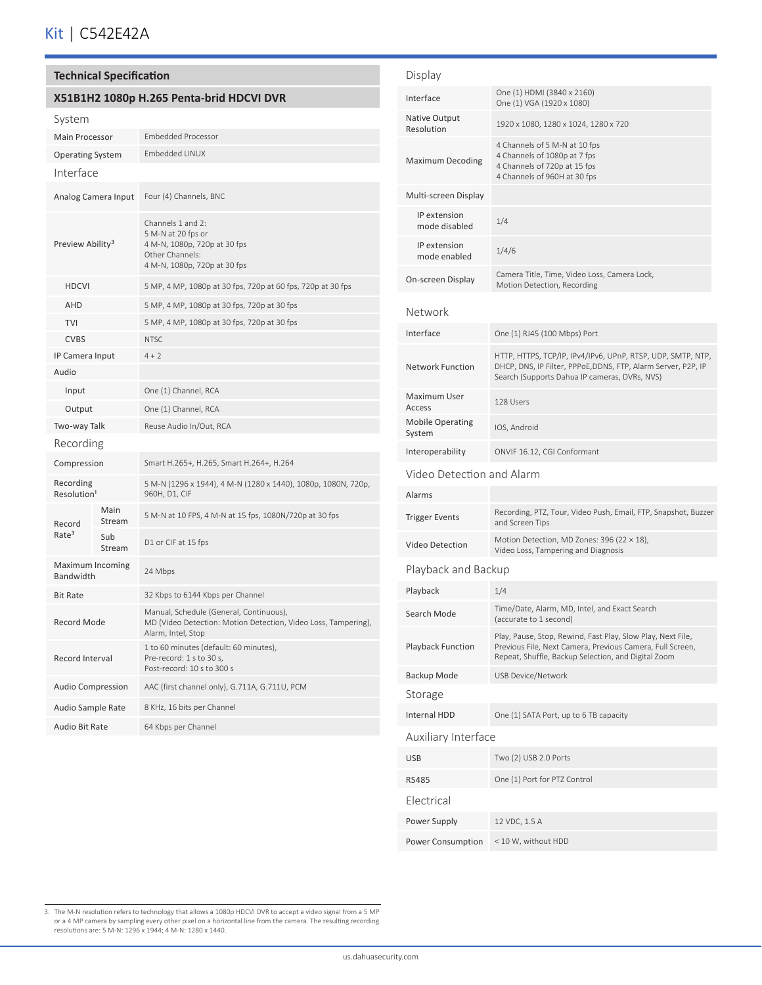## **X51B1H2 1080p H.265 Penta-brid HDCVI DVR**

| System                               |                     |                                                                                                                                 |  |  |
|--------------------------------------|---------------------|---------------------------------------------------------------------------------------------------------------------------------|--|--|
| <b>Main Processor</b>                |                     | <b>Embedded Processor</b>                                                                                                       |  |  |
| <b>Operating System</b>              |                     | Embedded LINUX                                                                                                                  |  |  |
| Interface                            |                     |                                                                                                                                 |  |  |
|                                      | Analog Camera Input | Four (4) Channels, BNC                                                                                                          |  |  |
| Preview Ability <sup>3</sup>         |                     | Channels 1 and 2:<br>5 M-N at 20 fps or<br>4 M-N, 1080p, 720p at 30 fps<br>Other Channels:<br>4 M-N, 1080p, 720p at 30 fps      |  |  |
| <b>HDCVI</b>                         |                     | 5 MP, 4 MP, 1080p at 30 fps, 720p at 60 fps, 720p at 30 fps                                                                     |  |  |
| <b>AHD</b>                           |                     | 5 MP, 4 MP, 1080p at 30 fps, 720p at 30 fps                                                                                     |  |  |
| <b>TVI</b>                           |                     | 5 MP, 4 MP, 1080p at 30 fps, 720p at 30 fps                                                                                     |  |  |
| <b>CVBS</b>                          |                     | <b>NTSC</b>                                                                                                                     |  |  |
| IP Camera Input                      |                     | $4 + 2$                                                                                                                         |  |  |
| Audio                                |                     |                                                                                                                                 |  |  |
| Input                                |                     | One (1) Channel, RCA                                                                                                            |  |  |
| Output                               |                     | One (1) Channel, RCA                                                                                                            |  |  |
| Two-way Talk                         |                     | Reuse Audio In/Out, RCA                                                                                                         |  |  |
| Recording                            |                     |                                                                                                                                 |  |  |
| Compression                          |                     | Smart H.265+, H.265, Smart H.264+, H.264                                                                                        |  |  |
| Recording<br>Resolution <sup>1</sup> |                     | 5 M-N (1296 x 1944), 4 M-N (1280 x 1440), 1080p, 1080N, 720p,<br>960H, D1, CIF                                                  |  |  |
| Record                               | Main<br>Stream      | 5 M-N at 10 FPS, 4 M-N at 15 fps, 1080N/720p at 30 fps                                                                          |  |  |
| Rate <sup>3</sup>                    | Sub<br>Stream       | D1 or CIF at 15 fps                                                                                                             |  |  |
| Maximum Incoming<br>Bandwidth        |                     | 24 Mbps                                                                                                                         |  |  |
| <b>Bit Rate</b>                      |                     | 32 Kbps to 6144 Kbps per Channel                                                                                                |  |  |
| <b>Record Mode</b>                   |                     | Manual, Schedule (General, Continuous),<br>MD (Video Detection: Motion Detection, Video Loss, Tampering),<br>Alarm, Intel, Stop |  |  |
| Record Interval                      |                     | 1 to 60 minutes (default: 60 minutes),<br>Pre-record: 1 s to 30 s,<br>Post-record: 10 s to 300 s                                |  |  |
| <b>Audio Compression</b>             |                     | AAC (first channel only), G.711A, G.711U, PCM                                                                                   |  |  |
| Audio Sample Rate                    |                     | 8 KHz, 16 bits per Channel                                                                                                      |  |  |
| Audio Bit Rate                       |                     | 64 Kbps per Channel                                                                                                             |  |  |

| Display                           |                                                                                                                                                                                 |  |  |
|-----------------------------------|---------------------------------------------------------------------------------------------------------------------------------------------------------------------------------|--|--|
| Interface                         | One (1) HDMI (3840 x 2160)<br>One (1) VGA (1920 x 1080)                                                                                                                         |  |  |
| Native Output<br>Resolution       | 1920 x 1080, 1280 x 1024, 1280 x 720                                                                                                                                            |  |  |
| Maximum Decoding                  | 4 Channels of 5 M-N at 10 fps<br>4 Channels of 1080p at 7 fps<br>4 Channels of 720p at 15 fps<br>4 Channels of 960H at 30 fps                                                   |  |  |
| Multi-screen Display              |                                                                                                                                                                                 |  |  |
| IP extension<br>mode disabled     | 1/4                                                                                                                                                                             |  |  |
| IP extension<br>mode enabled      | 1/4/6                                                                                                                                                                           |  |  |
| On-screen Display                 | Camera Title, Time, Video Loss, Camera Lock,<br>Motion Detection, Recording                                                                                                     |  |  |
| Network                           |                                                                                                                                                                                 |  |  |
| Interface                         | One (1) RJ45 (100 Mbps) Port                                                                                                                                                    |  |  |
| <b>Network Function</b>           | HTTP, HTTPS, TCP/IP, IPv4/IPv6, UPnP, RTSP, UDP, SMTP, NTP,<br>DHCP, DNS, IP Filter, PPPoE,DDNS, FTP, Alarm Server, P2P, IP<br>Search (Supports Dahua IP cameras, DVRs, NVS)    |  |  |
| Maximum User<br>Access            | 128 Users                                                                                                                                                                       |  |  |
| <b>Mobile Operating</b><br>System | IOS, Android                                                                                                                                                                    |  |  |
| Interoperability                  | ONVIF 16.12, CGI Conformant                                                                                                                                                     |  |  |
| Video Detection and Alarm         |                                                                                                                                                                                 |  |  |
| Alarms                            |                                                                                                                                                                                 |  |  |
| Trigger Events                    | Recording, PTZ, Tour, Video Push, Email, FTP, Snapshot, Buzzer<br>and Screen Tips                                                                                               |  |  |
| Video Detection                   | Motion Detection, MD Zones: 396 (22 $\times$ 18),<br>Video Loss, Tampering and Diagnosis                                                                                        |  |  |
| Playback and Backup               |                                                                                                                                                                                 |  |  |
| Playback                          | 1/4                                                                                                                                                                             |  |  |
| Search Mode                       | Time/Date, Alarm, MD, Intel, and Exact Search<br>(accurate to 1 second)                                                                                                         |  |  |
| <b>Playback Function</b>          | Play, Pause, Stop, Rewind, Fast Play, Slow Play, Next File,<br>Previous File, Next Camera, Previous Camera, Full Screen,<br>Repeat, Shuffle, Backup Selection, and Digital Zoom |  |  |
| Backup Mode                       | USB Device/Network                                                                                                                                                              |  |  |
| Storage                           |                                                                                                                                                                                 |  |  |
| <b>Internal HDD</b>               | One (1) SATA Port, up to 6 TB capacity                                                                                                                                          |  |  |
| Auxiliary Interface               |                                                                                                                                                                                 |  |  |
| <b>USB</b>                        | Two (2) USB 2.0 Ports                                                                                                                                                           |  |  |
| RS485                             | One (1) Port for PTZ Control                                                                                                                                                    |  |  |
| Electrical                        |                                                                                                                                                                                 |  |  |
| Power Supply                      | 12 VDC, 1.5 A                                                                                                                                                                   |  |  |
| Power Consumption                 | < 10 W, without HDD                                                                                                                                                             |  |  |

3. The M-N resolution refers to technology that allows a 1080p HDCVI DVR to accept a video signal from a 5 MP<br>or a 4 MP camera by sampling every other pixel on a horizontal line from the camera. The resulting recording<br>res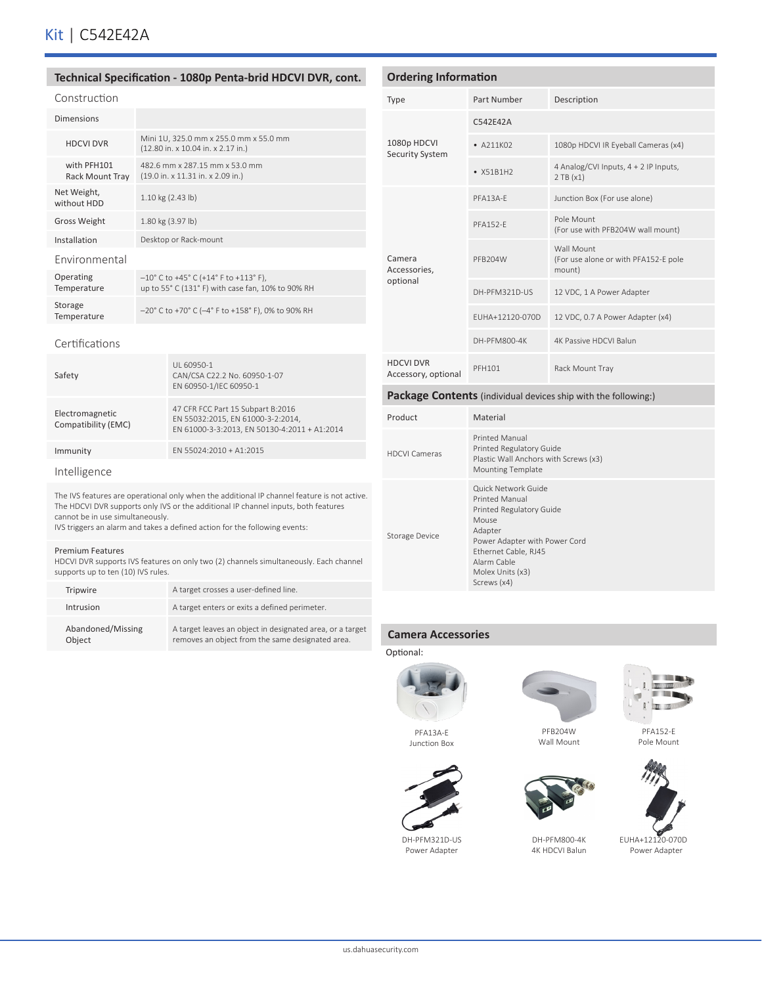#### **Technical Specification - 1080p Penta-brid HDCVI DVR, cont.**

| Construction                          |                                                                                                     |
|---------------------------------------|-----------------------------------------------------------------------------------------------------|
| Dimensions                            |                                                                                                     |
| <b>HDCVI DVR</b>                      | Mini 1U, 325.0 mm x 255.0 mm x 55.0 mm<br>(12.80 in. x 10.04 in. x 2.17 in.)                        |
| with PFH101<br><b>Rack Mount Tray</b> | 482.6 mm x 287.15 mm x 53.0 mm<br>(19.0 in. x 11.31 in. x 2.09 in.)                                 |
| Net Weight,<br>without HDD            | 1.10 kg (2.43 lb)                                                                                   |
| <b>Gross Weight</b>                   | 1.80 kg (3.97 lb)                                                                                   |
| Installation                          | Desktop or Rack-mount                                                                               |
| <b>Environmental</b>                  |                                                                                                     |
| Operating<br>Temperature              | $-10^{\circ}$ C to +45° C (+14° F to +113° F),<br>up to 55° C (131° F) with case fan, 10% to 90% RH |
| Storage<br>Temperature                | $-20^{\circ}$ C to +70° C (-4° F to +158° F), 0% to 90% RH                                          |
|                                       |                                                                                                     |

#### Certifications

| Safety                                 | UI 60950-1<br>CAN/CSA C22.2 No. 60950-1-07<br>EN 60950-1/IEC 60950-1                                                   |
|----------------------------------------|------------------------------------------------------------------------------------------------------------------------|
| Electromagnetic<br>Compatibility (EMC) | 47 CFR FCC Part 15 Subpart B:2016<br>EN 55032:2015, EN 61000-3-2:2014,<br>EN 61000-3-3:2013, EN 50130-4:2011 + A1:2014 |
| Immunity                               | FN 55024:2010 + A1:2015                                                                                                |
| Intelligence                           |                                                                                                                        |

The IVS features are operational only when the additional IP channel feature is not active. The HDCVI DVR supports only IVS or the additional IP channel inputs, both features cannot be in use simultaneously.

IVS triggers an alarm and takes a defined action for the following events:

#### Premium Features

HDCVI DVR supports IVS features on only two (2) channels simultaneously. Each channel supports up to ten (10) IVS rules.

| Tripwire                    | A target crosses a user-defined line.                                                                         |
|-----------------------------|---------------------------------------------------------------------------------------------------------------|
| Intrusion                   | A target enters or exits a defined perimeter.                                                                 |
| Abandoned/Missing<br>Object | A target leaves an object in designated area, or a target<br>removes an object from the same designated area. |

#### **Ordering Information** Type Part Number Description 1080p HDCVI Security System C542E42A • A211K02 1080p HDCVI IR Eyeball Cameras (x4) •  $X51B1H2$  4 Analog/CVI Inputs, 4 + 2 IP Inputs, 2 TB (x1) Camera Accessories, optional PFA13A-E Junction Box (For use alone) PFA152-F Pole Mount (For use with PFB204W wall mount) PFB204W Wall Mount (For use alone or with PFA152-E pole mount) DH-PFM321D-US 12 VDC, 1 A Power Adapter EUHA+12120-070D 12 VDC, 0.7 A Power Adapter (x4) DH-PFM800-4K 4K Passive HDCVI Balun HDCVI DVR HDCVI DVR<br>Accessory, optional PFH101 Rack Mount Tray **Package Contents** (individual devices ship with the following:) Product Material

| <b>HDCVI Cameras</b> | <b>Printed Manual</b><br>Printed Regulatory Guide<br>Plastic Wall Anchors with Screws (x3)<br><b>Mounting Template</b>                                                                                  |
|----------------------|---------------------------------------------------------------------------------------------------------------------------------------------------------------------------------------------------------|
| Storage Device       | Quick Network Guide<br><b>Printed Manual</b><br>Printed Regulatory Guide<br>Mouse<br>Adapter<br>Power Adapter with Power Cord<br>Ethernet Cable, RJ45<br>Alarm Cable<br>Molex Units (x3)<br>Screws (x4) |

#### **Camera Accessories**





PFA13A-E Junction Box



DH-PFM321D-US Power Adapter



PFA152-E



Pole Mount

**The Car Manufacture** 

DH-PFM800-4K 4K HDCVI Balun



EUHA+12120-070D Power Adapter

PFB204W Wall Mount





us.dahuasecurity.com